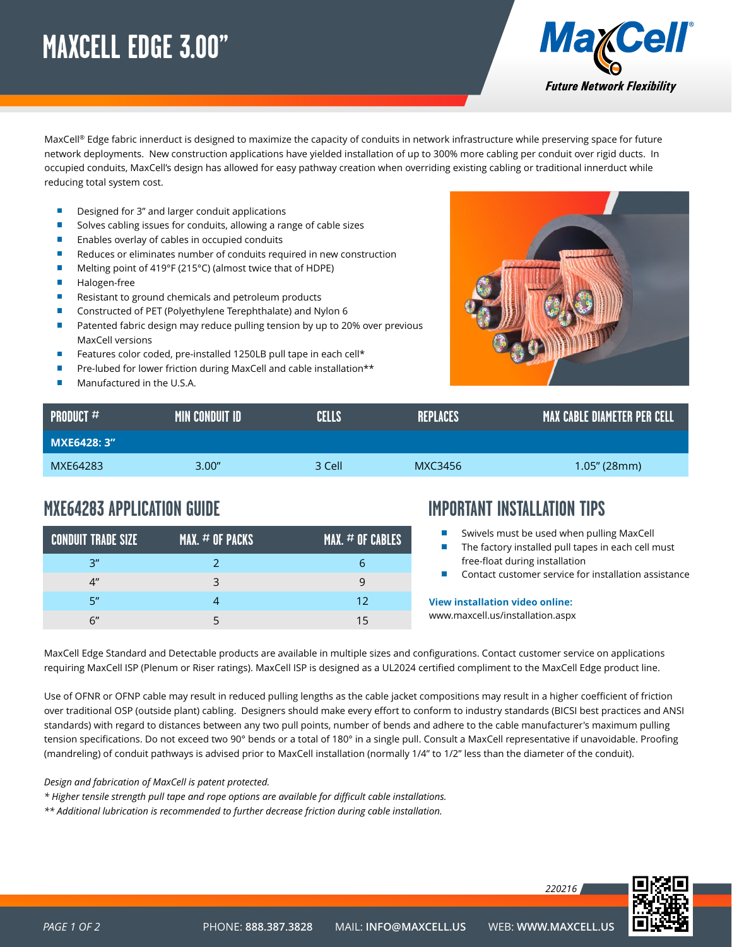# <span id="page-0-0"></span>**MAXCELL EDGE 3.00"**



MaxCell® Edge fabric innerduct is designed to maximize the capacity of conduits in network infrastructure while preserving space for future network deployments. New construction applications have yielded installation of up to 300% more cabling per conduit over rigid ducts. In occupied conduits, MaxCell's design has allowed for easy pathway creation when overriding existing cabling or traditional innerduct while reducing total system cost.

- $\overline{\phantom{a}}$ Designed for 3" and larger conduit applications
- $\mathbf{r}$ Solves cabling issues for conduits, allowing a range of cable sizes
- П Enables overlay of cables in occupied conduits
- $\overline{\phantom{a}}$ Reduces or eliminates number of conduits required in new construction
- Melting point of 419°F (215°C) (almost twice that of HDPE)  $\overline{\phantom{a}}$
- $\mathbf{r}$ Halogen-free
- $\overline{\phantom{a}}$ Resistant to ground chemicals and petroleum products
- П Constructed of PET (Polyethylene Terephthalate) and Nylon 6
- Patented fabric design may reduce pulling tension by up to 20% over previous  $\overline{\phantom{a}}$ MaxCell versions
- $\overline{\phantom{a}}$ Features color coded, pre-installed 1250LB pull tape in each cell\*
- Pre-lubed for lower friction during MaxCell and cable installation\*\*
- Manufactured in the U.S.A.



| <b>PRODUCT</b> $#$ | MIN CONDUIT ID | <b>CELLS</b> | <b>REPLACES</b> | I MAX CABLE DIAMETER PER CELL <sup>I</sup> |
|--------------------|----------------|--------------|-----------------|--------------------------------------------|
| <b>MXE6428: 3"</b> |                |              |                 |                                            |
| MXE64283           | 3.00"          | 3 Cell       | MXC3456         | $1.05$ " (28mm)                            |

## **MXE64283 APPLICATION GUIDE**

| <b>CONDUIT TRADE SIZE</b> | MAX. $#$ of PACKS | MAX. $#$ OF CABLES |
|---------------------------|-------------------|--------------------|
| 2 <sup>n</sup>            |                   |                    |
| ∆″                        |                   |                    |
| 5"                        |                   | 12                 |
| հ"                        |                   |                    |

## **IMPORTANT INSTALLATION TIPS**

- Swivels must be used when pulling MaxCell
- П The factory installed pull tapes in each cell must free-float during installation
- Contact customer service for installation assistance

#### **View installation video online:**

www.maxcell.us/installation.aspx

MaxCell Edge Standard and Detectable products are available in multiple sizes and configurations. Contact customer service on applications requiring MaxCell ISP (Plenum or Riser ratings). MaxCell ISP is designed as a UL2024 certified compliment to the MaxCell Edge product line.

Use of OFNR or OFNP cable may result in reduced pulling lengths as the cable jacket compositions may result in a higher coefficient of friction over traditional OSP (outside plant) cabling. Designers should make every effort to conform to industry standards (BICSI best practices and ANSI standards) with regard to distances between any two pull points, number of bends and adhere to the cable manufacturer's maximum pulling tension specifications. Do not exceed two 90° bends or a total of 180° in a single pull. Consult a MaxCell representative if unavoidable. Proofing (mandreling) of conduit pathways is advised prior to MaxCell installation (normally 1/4" to 1/2" less than the diameter of the conduit).

*Design and fabrication of MaxCell is patent protected.*

*\* Higher tensile strength pull tape and rope options are available for difficult cable installations.*

*\*\* Additional lubrication is recommended to further decrease friction during cable installation.*